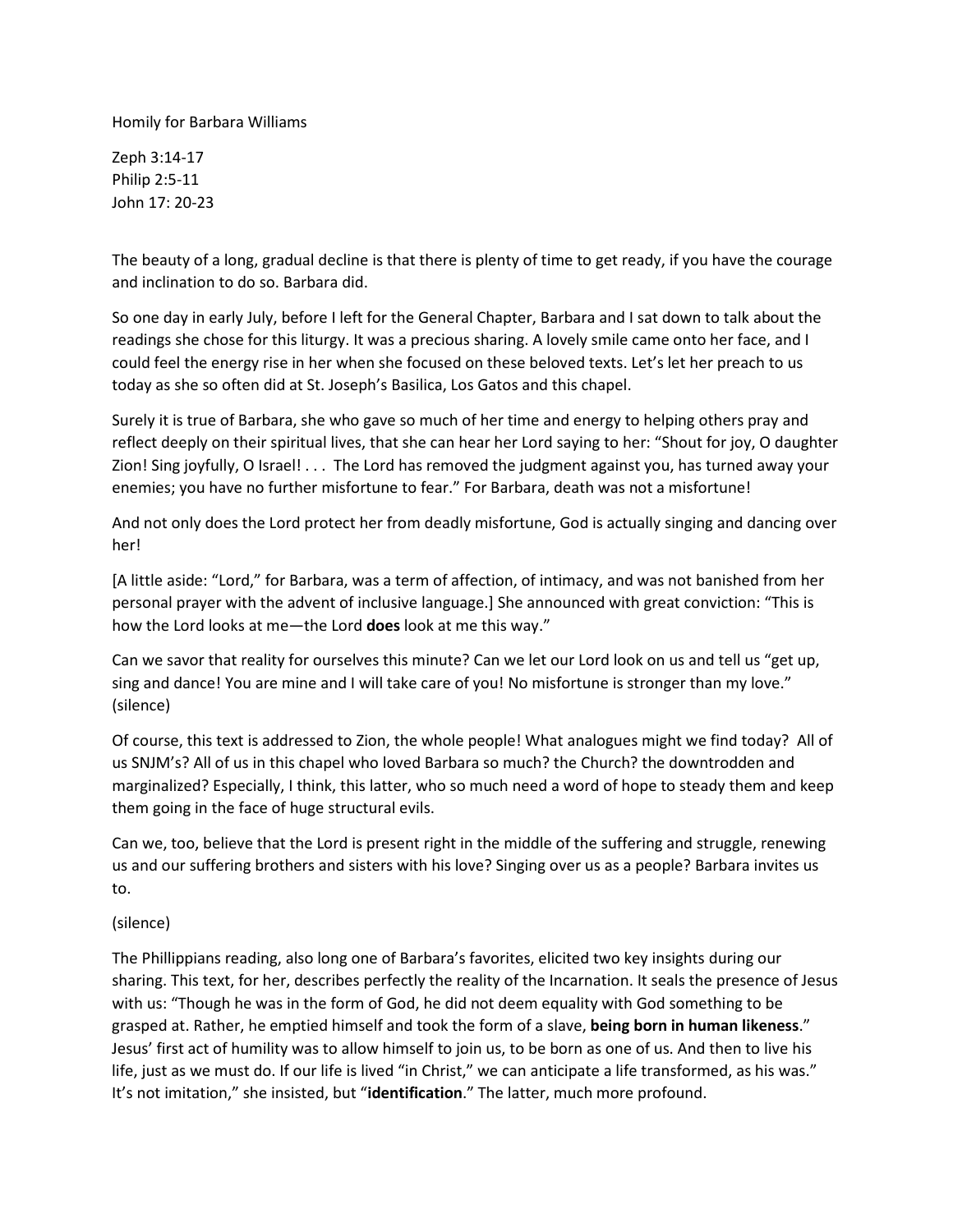Homily for Barbara Williams

Zeph 3:14-17 Philip 2:5-11 John 17: 20-23

The beauty of a long, gradual decline is that there is plenty of time to get ready, if you have the courage and inclination to do so. Barbara did.

So one day in early July, before I left for the General Chapter, Barbara and I sat down to talk about the readings she chose for this liturgy. It was a precious sharing. A lovely smile came onto her face, and I could feel the energy rise in her when she focused on these beloved texts. Let's let her preach to us today as she so often did at St. Joseph's Basilica, Los Gatos and this chapel.

Surely it is true of Barbara, she who gave so much of her time and energy to helping others pray and reflect deeply on their spiritual lives, that she can hear her Lord saying to her: "Shout for joy, O daughter Zion! Sing joyfully, O Israel! . . . The Lord has removed the judgment against you, has turned away your enemies; you have no further misfortune to fear." For Barbara, death was not a misfortune!

And not only does the Lord protect her from deadly misfortune, God is actually singing and dancing over her!

[A little aside: "Lord," for Barbara, was a term of affection, of intimacy, and was not banished from her personal prayer with the advent of inclusive language.] She announced with great conviction: "This is how the Lord looks at me—the Lord **does** look at me this way."

Can we savor that reality for ourselves this minute? Can we let our Lord look on us and tell us "get up, sing and dance! You are mine and I will take care of you! No misfortune is stronger than my love." (silence)

Of course, this text is addressed to Zion, the whole people! What analogues might we find today? All of us SNJM's? All of us in this chapel who loved Barbara so much? the Church? the downtrodden and marginalized? Especially, I think, this latter, who so much need a word of hope to steady them and keep them going in the face of huge structural evils.

Can we, too, believe that the Lord is present right in the middle of the suffering and struggle, renewing us and our suffering brothers and sisters with his love? Singing over us as a people? Barbara invites us to.

## (silence)

The Phillippians reading, also long one of Barbara's favorites, elicited two key insights during our sharing. This text, for her, describes perfectly the reality of the Incarnation. It seals the presence of Jesus with us: "Though he was in the form of God, he did not deem equality with God something to be grasped at. Rather, he emptied himself and took the form of a slave, **being born in human likeness**." Jesus' first act of humility was to allow himself to join us, to be born as one of us. And then to live his life, just as we must do. If our life is lived "in Christ," we can anticipate a life transformed, as his was." It's not imitation," she insisted, but "**identification**." The latter, much more profound.